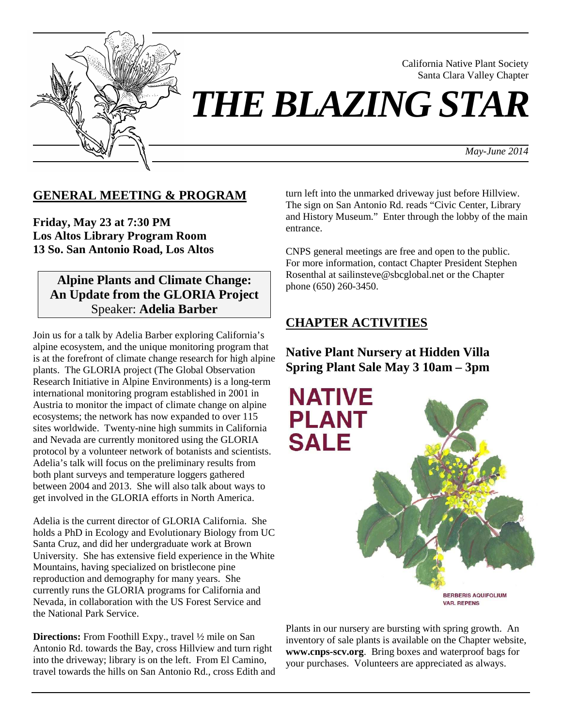

California Native Plant Society Santa Clara Valley Chapter

*THE BLAZING STAR*

*May-June 2014*

### **GENERAL MEETING & PROGRAM**

**Friday, May 23 at 7:30 PM Los Altos Library Program Room 13 So. San Antonio Road, Los Altos**

### **Alpine Plants and Climate Change: An Update from the GLORIA Project**  Speaker: **Adelia Barber**

Join us for a talk by Adelia Barber exploring California's alpine ecosystem, and the unique monitoring program that is at the forefront of climate change research for high alpine plants. The GLORIA project (The Global Observation Research Initiative in Alpine Environments) is a long-term international monitoring program established in 2001 in Austria to monitor the impact of climate change on alpine ecosystems; the network has now expanded to over 115 sites worldwide. Twenty-nine high summits in California and Nevada are currently monitored using the GLORIA protocol by a volunteer network of botanists and scientists. Adelia's talk will focus on the preliminary results from both plant surveys and temperature loggers gathered between 2004 and 2013. She will also talk about ways to get involved in the GLORIA efforts in North America.

Adelia is the current director of GLORIA California. She holds a PhD in Ecology and Evolutionary Biology from UC Santa Cruz, and did her undergraduate work at Brown University. She has extensive field experience in the White Mountains, having specialized on bristlecone pine reproduction and demography for many years. She currently runs the GLORIA programs for California and Nevada, in collaboration with the US Forest Service and the National Park Service.

**Directions:** From Foothill Expy., travel 1/2 mile on San Antonio Rd. towards the Bay, cross Hillview and turn right into the driveway; library is on the left. From El Camino, travel towards the hills on San Antonio Rd., cross Edith and turn left into the unmarked driveway just before Hillview. The sign on San Antonio Rd. reads "Civic Center, Library and History Museum." Enter through the lobby of the main entrance.

CNPS general meetings are free and open to the public. For more information, contact Chapter President Stephen Rosenthal at sailinsteve@sbcglobal.net or the Chapter phone (650) 260-3450.

## **CHAPTER ACTIVITIES**

**Native Plant Nursery at Hidden Villa Spring Plant Sale May 3 10am – 3pm** 



Plants in our nursery are bursting with spring growth. An inventory of sale plants is available on the Chapter website, **www.cnps-scv.org**. Bring boxes and waterproof bags for your purchases. Volunteers are appreciated as always.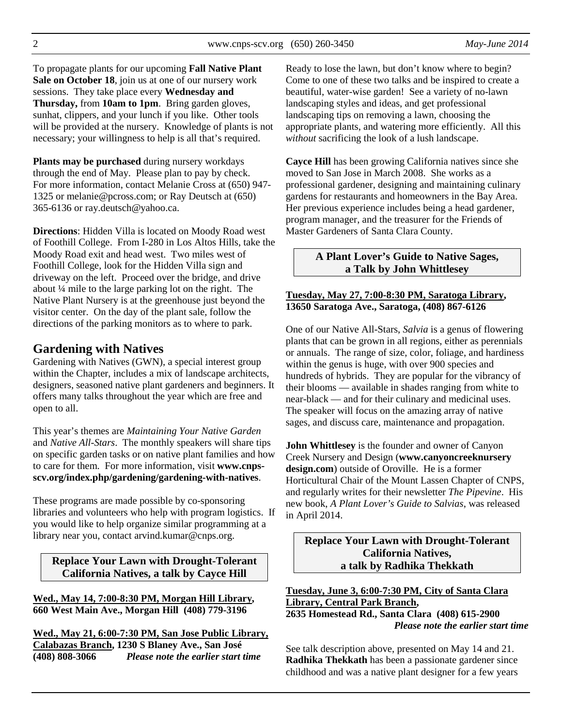To propagate plants for our upcoming **Fall Native Plant Sale on October 18**, join us at one of our nursery work sessions. They take place every **Wednesday and Thursday,** from **10am to 1pm**. Bring garden gloves, sunhat, clippers, and your lunch if you like. Other tools will be provided at the nursery. Knowledge of plants is not necessary; your willingness to help is all that's required.

**Plants may be purchased** during nursery workdays through the end of May. Please plan to pay by check. For more information, contact Melanie Cross at (650) 947- 1325 or melanie@pcross.com; or Ray Deutsch at (650) 365-6136 or ray.deutsch@yahoo.ca.

**Directions**: Hidden Villa is located on Moody Road west of Foothill College. From I-280 in Los Altos Hills, take the Moody Road exit and head west. Two miles west of Foothill College, look for the Hidden Villa sign and driveway on the left. Proceed over the bridge, and drive about ¼ mile to the large parking lot on the right. The Native Plant Nursery is at the greenhouse just beyond the visitor center. On the day of the plant sale, follow the directions of the parking monitors as to where to park.

### **Gardening with Natives**

Gardening with Natives (GWN), a special interest group within the Chapter, includes a mix of landscape architects, designers, seasoned native plant gardeners and beginners. It offers many talks throughout the year which are free and open to all.

This year's themes are *Maintaining Your Native Garden* and *Native All-Stars*. The monthly speakers will share tips on specific garden tasks or on native plant families and how to care for them. For more information, visit **www.cnpsscv.org/index.php/gardening/gardening-with-natives**.

These programs are made possible by co-sponsoring libraries and volunteers who help with program logistics. If you would like to help organize similar programming at a library near you, contact arvind.kumar@cnps.org.

**Replace Your Lawn with Drought-Tolerant California Natives, a talk by Cayce Hill** 

**Wed., May 14, 7:00-8:30 PM, Morgan Hill Library, 660 West Main Ave., Morgan Hill (408) 779-3196** 

**Wed., May 21, 6:00-7:30 PM, San Jose Public Library, Calabazas Branch, 1230 S Blaney Ave., San José (408) 808-3066** *Please note the earlier start time*

Ready to lose the lawn, but don't know where to begin? Come to one of these two talks and be inspired to create a beautiful, water-wise garden! See a variety of no-lawn landscaping styles and ideas, and get professional landscaping tips on removing a lawn, choosing the appropriate plants, and watering more efficiently. All this *without* sacrificing the look of a lush landscape.

**Cayce Hill** has been growing California natives since she moved to San Jose in March 2008. She works as a professional gardener, designing and maintaining culinary gardens for restaurants and homeowners in the Bay Area. Her previous experience includes being a head gardener, program manager, and the treasurer for the Friends of Master Gardeners of Santa Clara County.

#### **A Plant Lover's Guide to Native Sages, a Talk by John Whittlesey**

#### **Tuesday, May 27, 7:00-8:30 PM, Saratoga Library, 13650 Saratoga Ave., Saratoga, (408) 867-6126**

One of our Native All-Stars, *Salvia* is a genus of flowering plants that can be grown in all regions, either as perennials or annuals. The range of size, color, foliage, and hardiness within the genus is huge, with over 900 species and hundreds of hybrids. They are popular for the vibrancy of their blooms — available in shades ranging from white to near-black — and for their culinary and medicinal uses. The speaker will focus on the amazing array of native sages, and discuss care, maintenance and propagation.

**John Whittlesey** is the founder and owner of Canyon Creek Nursery and Design (**www.canyoncreeknursery design.com**) outside of Oroville. He is a former Horticultural Chair of the Mount Lassen Chapter of CNPS, and regularly writes for their newsletter *The Pipevine*. His new book, *A Plant Lover's Guide to Salvias*, was released in April 2014.

**Replace Your Lawn with Drought-Tolerant California Natives, a talk by Radhika Thekkath** 

**Tuesday, June 3, 6:00-7:30 PM, City of Santa Clara Library, Central Park Branch, 2635 Homestead Rd., Santa Clara (408) 615-2900** 

*Please note the earlier start time* 

See talk description above, presented on May 14 and 21. **Radhika Thekkath** has been a passionate gardener since childhood and was a native plant designer for a few years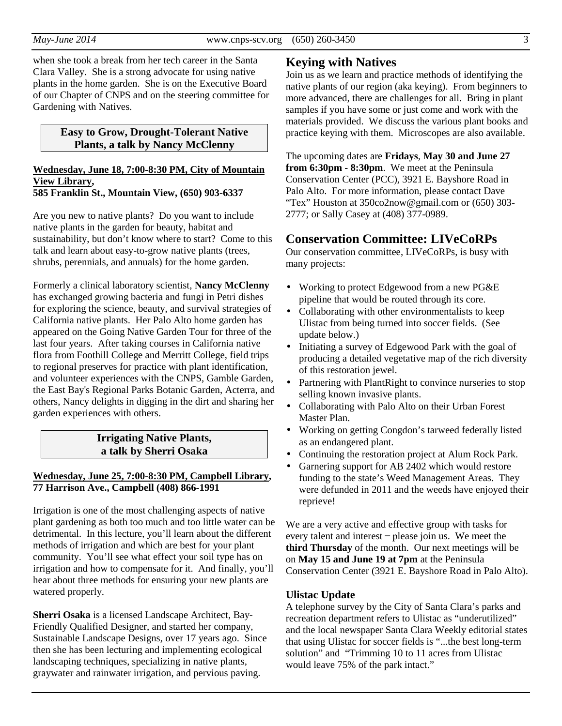when she took a break from her tech career in the Santa Clara Valley. She is a strong advocate for using native plants in the home garden. She is on the Executive Board of our Chapter of CNPS and on the steering committee for Gardening with Natives.

#### **Easy to Grow, Drought-Tolerant Native Plants, a talk by Nancy McClenny**

#### **Wednesday, June 18, 7:00-8:30 PM, City of Mountain View Library, 585 Franklin St., Mountain View, (650) 903-6337**

Are you new to native plants? Do you want to include native plants in the garden for beauty, habitat and sustainability, but don't know where to start? Come to this talk and learn about easy-to-grow native plants (trees, shrubs, perennials, and annuals) for the home garden.

Formerly a clinical laboratory scientist, **Nancy McClenny** has exchanged growing bacteria and fungi in Petri dishes for exploring the science, beauty, and survival strategies of California native plants. Her Palo Alto home garden has appeared on the Going Native Garden Tour for three of the last four years. After taking courses in California native flora from Foothill College and Merritt College, field trips to regional preserves for practice with plant identification, and volunteer experiences with the CNPS, Gamble Garden, the East Bay's Regional Parks Botanic Garden, Acterra, and others, Nancy delights in digging in the dirt and sharing her garden experiences with others.

#### **Irrigating Native Plants, a talk by Sherri Osaka**

#### **Wednesday, June 25, 7:00-8:30 PM, Campbell Library, 77 Harrison Ave., Campbell (408) 866-1991**

Irrigation is one of the most challenging aspects of native plant gardening as both too much and too little water can be detrimental. In this lecture, you'll learn about the different methods of irrigation and which are best for your plant community. You'll see what effect your soil type has on irrigation and how to compensate for it. And finally, you'll hear about three methods for ensuring your new plants are watered properly.

**Sherri Osaka** is a licensed Landscape Architect, Bay-Friendly Qualified Designer, and started her company, Sustainable Landscape Designs, over 17 years ago. Since then she has been lecturing and implementing ecological landscaping techniques, specializing in native plants, graywater and rainwater irrigation, and pervious paving.

### **Keying with Natives**

Join us as we learn and practice methods of identifying the native plants of our region (aka keying). From beginners to more advanced, there are challenges for all. Bring in plant samples if you have some or just come and work with the materials provided. We discuss the various plant books and practice keying with them. Microscopes are also available.

The upcoming dates are **Fridays**, **May 30 and June 27 from 6:30pm - 8:30pm**. We meet at the Peninsula Conservation Center (PCC), 3921 E. Bayshore Road in Palo Alto. For more information, please contact Dave "Tex" Houston at 350co2now@gmail.com or (650) 303- 2777; or Sally Casey at (408) 377-0989.

### **Conservation Committee: LIVeCoRPs**

Our conservation committee, LIVeCoRPs, is busy with many projects:

- Working to protect Edgewood from a new PG&E pipeline that would be routed through its core.
- Collaborating with other environmentalists to keep Ulistac from being turned into soccer fields. (See update below.)
- Initiating a survey of Edgewood Park with the goal of producing a detailed vegetative map of the rich diversity of this restoration jewel.
- Partnering with PlantRight to convince nurseries to stop selling known invasive plants.
- Collaborating with Palo Alto on their Urban Forest Master Plan.
- Working on getting Congdon's tarweed federally listed as an endangered plant.
- Continuing the restoration project at Alum Rock Park.
- Garnering support for AB 2402 which would restore funding to the state's Weed Management Areas. They were defunded in 2011 and the weeds have enjoyed their reprieve!

We are a very active and effective group with tasks for every talent and interest ̶ please join us. We meet the **third Thursday** of the month. Our next meetings will be on **May 15 and June 19 at 7pm** at the Peninsula Conservation Center (3921 E. Bayshore Road in Palo Alto).

#### **Ulistac Update**

A telephone survey by the City of Santa Clara's parks and recreation department refers to Ulistac as "underutilized" and the local newspaper Santa Clara Weekly editorial states that using Ulistac for soccer fields is "...the best long-term solution" and "Trimming 10 to 11 acres from Ulistac would leave 75% of the park intact."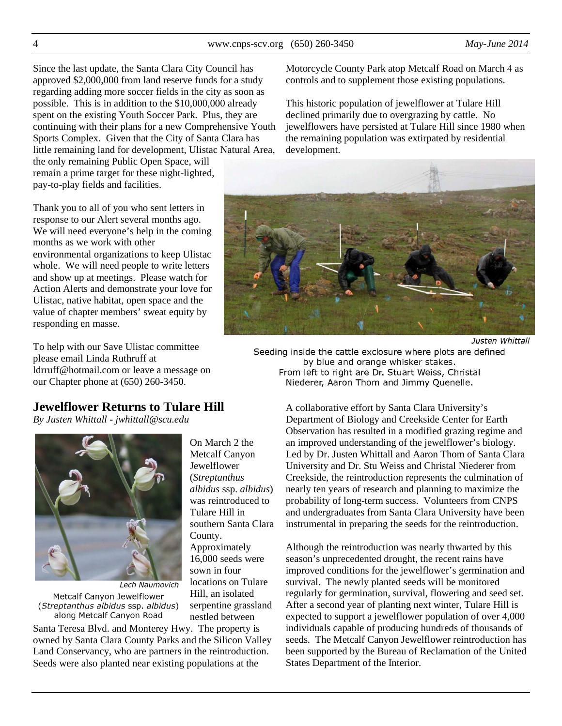4 www.cnps-scv.org (650) 260-3450 *May-June 2014*

Since the last update, the Santa Clara City Council has approved \$2,000,000 from land reserve funds for a study regarding adding more soccer fields in the city as soon as possible. This is in addition to the \$10,000,000 already spent on the existing Youth Soccer Park. Plus, they are continuing with their plans for a new Comprehensive Youth Sports Complex. Given that the City of Santa Clara has little remaining land for development, Ulistac Natural Area,

the only remaining Public Open Space, will remain a prime target for these night-lighted, pay-to-play fields and facilities.

Thank you to all of you who sent letters in response to our Alert several months ago. We will need everyone's help in the coming months as we work with other environmental organizations to keep Ulistac whole. We will need people to write letters and show up at meetings. Please watch for Action Alerts and demonstrate your love for Ulistac, native habitat, open space and the value of chapter members' sweat equity by responding en masse.

To help with our Save Ulistac committee please email Linda Ruthruff at ldrruff@hotmail.com or leave a message on our Chapter phone at (650) 260-3450.

### **Jewelflower Returns to Tulare Hill**

On March 2 the Metcalf Canyon Jewelflower (*Streptanthus albidus* ssp. *albidus*) was reintroduced to Tulare Hill in southern Santa Clara

County.

Approximately 16,000 seeds were sown in four locations on Tulare Hill, an isolated serpentine grassland nestled between

*By Justen Whittall - jwhittall@scu.edu* 



Lech Naumovich Metcalf Canyon Jewelflower (Streptanthus albidus ssp. albidus) along Metcalf Canyon Road

Santa Teresa Blvd. and Monterey Hwy. The property is owned by Santa Clara County Parks and the Silicon Valley Land Conservancy, who are partners in the reintroduction. Seeds were also planted near existing populations at the

Motorcycle County Park atop Metcalf Road on March 4 as controls and to supplement those existing populations.

This historic population of jewelflower at Tulare Hill declined primarily due to overgrazing by cattle. No jewelflowers have persisted at Tulare Hill since 1980 when the remaining population was extirpated by residential development.



Justen Whittall

Seeding inside the cattle exclosure where plots are defined by blue and orange whisker stakes. From left to right are Dr. Stuart Weiss, Christal Niederer, Aaron Thom and Jimmy Quenelle.

A collaborative effort by Santa Clara University's Department of Biology and Creekside Center for Earth Observation has resulted in a modified grazing regime and an improved understanding of the jewelflower's biology. Led by Dr. Justen Whittall and Aaron Thom of Santa Clara University and Dr. Stu Weiss and Christal Niederer from Creekside, the reintroduction represents the culmination of nearly ten years of research and planning to maximize the probability of long-term success. Volunteers from CNPS and undergraduates from Santa Clara University have been instrumental in preparing the seeds for the reintroduction.

Although the reintroduction was nearly thwarted by this season's unprecedented drought, the recent rains have improved conditions for the jewelflower's germination and survival. The newly planted seeds will be monitored regularly for germination, survival, flowering and seed set. After a second year of planting next winter, Tulare Hill is expected to support a jewelflower population of over 4,000 individuals capable of producing hundreds of thousands of seeds. The Metcalf Canyon Jewelflower reintroduction has been supported by the Bureau of Reclamation of the United States Department of the Interior.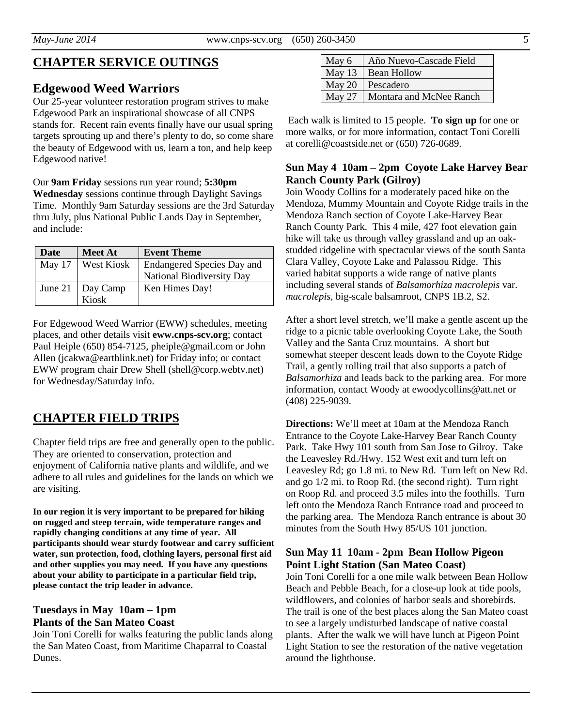### **Edgewood Weed Warriors**

Our 25-year volunteer restoration program strives to make Edgewood Park an inspirational showcase of all CNPS stands for. Recent rain events finally have our usual spring targets sprouting up and there's plenty to do, so come share the beauty of Edgewood with us, learn a ton, and help keep Edgewood native!

Our **9am Friday** sessions run year round; **5:30pm Wednesday** sessions continue through Daylight Savings Time. Monthly 9am Saturday sessions are the 3rd Saturday thru July, plus National Public Lands Day in September, and include:

| Date     | <b>Meet At</b>                                                                    | <b>Event Theme</b>         |
|----------|-----------------------------------------------------------------------------------|----------------------------|
| May $17$ | <b>West Kiosk</b>                                                                 | Endangered Species Day and |
|          |                                                                                   | National Biodiversity Day  |
|          | June 21 $\begin{array}{ c c } \hline \text{Day Camp} \\ \text{Kiosk} \end{array}$ | Ken Himes Day!             |
|          |                                                                                   |                            |

For Edgewood Weed Warrior (EWW) schedules, meeting places, and other details visit **eww.cnps-scv.org**; contact Paul Heiple (650) 854-7125, pheiple@gmail.com or John Allen (jcakwa@earthlink.net) for Friday info; or contact EWW program chair Drew Shell (shell@corp.webtv.net) for Wednesday/Saturday info.

# **CHAPTER FIELD TRIPS**

Chapter field trips are free and generally open to the public. They are oriented to conservation, protection and enjoyment of California native plants and wildlife, and we adhere to all rules and guidelines for the lands on which we are visiting.

**In our region it is very important to be prepared for hiking on rugged and steep terrain, wide temperature ranges and rapidly changing conditions at any time of year. All participants should wear sturdy footwear and carry sufficient water, sun protection, food, clothing layers, personal first aid and other supplies you may need. If you have any questions about your ability to participate in a particular field trip, please contact the trip leader in advance.** 

#### **Tuesdays in May 10am – 1pm Plants of the San Mateo Coast**

Join Toni Corelli for walks featuring the public lands along the San Mateo Coast, from Maritime Chaparral to Coastal Dunes.

| May 6    | Año Nuevo-Cascade Field |  |
|----------|-------------------------|--|
| May $13$ | <b>Bean Hollow</b>      |  |
| May 20   | Pescadero               |  |
| May 27   | Montara and McNee Ranch |  |

 Each walk is limited to 15 people. **To sign up** for one or more walks, or for more information, contact Toni Corelli at corelli@coastside.net or (650) 726-0689.

#### **Sun May 4 10am – 2pm Coyote Lake Harvey Bear Ranch County Park (Gilroy)**

Join Woody Collins for a moderately paced hike on the Mendoza, Mummy Mountain and Coyote Ridge trails in the Mendoza Ranch section of Coyote Lake-Harvey Bear Ranch County Park. This 4 mile, 427 foot elevation gain hike will take us through valley grassland and up an oakstudded ridgeline with spectacular views of the south Santa Clara Valley, Coyote Lake and Palassou Ridge. This varied habitat supports a wide range of native plants including several stands of *Balsamorhiza macrolepis* var. *macrolepis*, big-scale balsamroot, CNPS 1B.2, S2.

After a short level stretch, we'll make a gentle ascent up the ridge to a picnic table overlooking Coyote Lake, the South Valley and the Santa Cruz mountains. A short but somewhat steeper descent leads down to the Coyote Ridge Trail, a gently rolling trail that also supports a patch of *Balsamorhiza* and leads back to the parking area. For more information, contact Woody at ewoodycollins@att.net or (408) 225-9039.

**Directions:** We'll meet at 10am at the Mendoza Ranch Entrance to the Coyote Lake-Harvey Bear Ranch County Park. Take Hwy 101 south from San Jose to Gilroy. Take the Leavesley Rd./Hwy. 152 West exit and turn left on Leavesley Rd; go 1.8 mi. to New Rd. Turn left on New Rd. and go 1/2 mi. to Roop Rd. (the second right). Turn right on Roop Rd. and proceed 3.5 miles into the foothills. Turn left onto the Mendoza Ranch Entrance road and proceed to the parking area. The Mendoza Ranch entrance is about 30 minutes from the South Hwy 85/US 101 junction.

### **Sun May 11 10am - 2pm Bean Hollow Pigeon Point Light Station (San Mateo Coast)**

Join Toni Corelli for a one mile walk between Bean Hollow Beach and Pebble Beach, for a close-up look at tide pools, wildflowers, and colonies of harbor seals and shorebirds. The trail is one of the best places along the San Mateo coast to see a largely undisturbed landscape of native coastal plants. After the walk we will have lunch at Pigeon Point Light Station to see the restoration of the native vegetation around the lighthouse.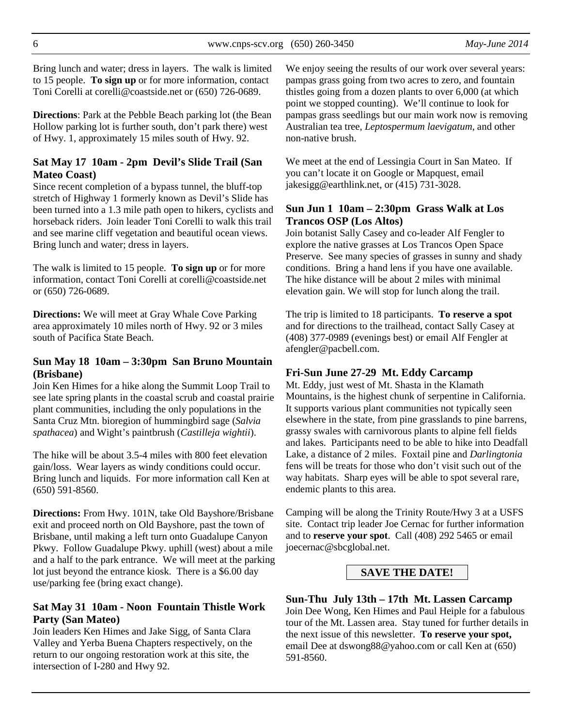Bring lunch and water; dress in layers. The walk is limited to 15 people. **To sign up** or for more information, contact Toni Corelli at corelli@coastside.net or (650) 726-0689.

**Directions**: Park at the Pebble Beach parking lot (the Bean Hollow parking lot is further south, don't park there) west of Hwy. 1, approximately 15 miles south of Hwy. 92.

#### **Sat May 17 10am - 2pm Devil's Slide Trail (San Mateo Coast)**

Since recent completion of a bypass tunnel, the bluff-top stretch of Highway 1 formerly known as Devil's Slide has been turned into a 1.3 mile path open to hikers, cyclists and horseback riders. Join leader Toni Corelli to walk this trail and see marine cliff vegetation and beautiful ocean views. Bring lunch and water; dress in layers.

The walk is limited to 15 people. **To sign up** or for more information, contact Toni Corelli at corelli@coastside.net or (650) 726-0689.

**Directions:** We will meet at Gray Whale Cove Parking area approximately 10 miles north of Hwy. 92 or 3 miles south of Pacifica State Beach.

#### **Sun May 18 10am – 3:30pm San Bruno Mountain (Brisbane)**

Join Ken Himes for a hike along the Summit Loop Trail to see late spring plants in the coastal scrub and coastal prairie plant communities, including the only populations in the Santa Cruz Mtn. bioregion of hummingbird sage (*Salvia spathacea*) and Wight's paintbrush (*Castilleja wightii*).

The hike will be about 3.5-4 miles with 800 feet elevation gain/loss. Wear layers as windy conditions could occur. Bring lunch and liquids. For more information call Ken at (650) 591-8560.

**Directions:** From Hwy. 101N, take Old Bayshore/Brisbane exit and proceed north on Old Bayshore, past the town of Brisbane, until making a left turn onto Guadalupe Canyon Pkwy. Follow Guadalupe Pkwy. uphill (west) about a mile and a half to the park entrance. We will meet at the parking lot just beyond the entrance kiosk. There is a \$6.00 day use/parking fee (bring exact change).

#### **Sat May 31 10am - Noon Fountain Thistle Work Party (San Mateo)**

Join leaders Ken Himes and Jake Sigg, of Santa Clara Valley and Yerba Buena Chapters respectively, on the return to our ongoing restoration work at this site, the intersection of I-280 and Hwy 92.

We enjoy seeing the results of our work over several years: pampas grass going from two acres to zero, and fountain thistles going from a dozen plants to over 6,000 (at which point we stopped counting). We'll continue to look for pampas grass seedlings but our main work now is removing Australian tea tree, *Leptospermum laevigatum*, and other non-native brush.

We meet at the end of Lessingia Court in San Mateo. If you can't locate it on Google or Mapquest, email jakesigg@earthlink.net, or (415) 731-3028.

#### **Sun Jun 1 10am – 2:30pm Grass Walk at Los Trancos OSP (Los Altos)**

Join botanist Sally Casey and co-leader Alf Fengler to explore the native grasses at Los Trancos Open Space Preserve. See many species of grasses in sunny and shady conditions. Bring a hand lens if you have one available. The hike distance will be about 2 miles with minimal elevation gain. We will stop for lunch along the trail.

The trip is limited to 18 participants. **To reserve a spot** and for directions to the trailhead, contact Sally Casey at (408) 377-0989 (evenings best) or email Alf Fengler at afengler@pacbell.com.

#### **Fri-Sun June 27-29 Mt. Eddy Carcamp**

Mt. Eddy, just west of Mt. Shasta in the Klamath Mountains, is the highest chunk of serpentine in California. It supports various plant communities not typically seen elsewhere in the state, from pine grasslands to pine barrens, grassy swales with carnivorous plants to alpine fell fields and lakes. Participants need to be able to hike into Deadfall Lake, a distance of 2 miles. Foxtail pine and *Darlingtonia* fens will be treats for those who don't visit such out of the way habitats. Sharp eyes will be able to spot several rare, endemic plants to this area.

Camping will be along the Trinity Route/Hwy 3 at a USFS site. Contact trip leader Joe Cernac for further information and to **reserve your spot**. Call (408) 292 5465 or email joecernac@sbcglobal.net.

### **SAVE THE DATE!**

# **Sun-Thu July 13th – 17th Mt. Lassen Carcamp**

Join Dee Wong, Ken Himes and Paul Heiple for a fabulous tour of the Mt. Lassen area. Stay tuned for further details in the next issue of this newsletter. **To reserve your spot,** email Dee at dswong88@yahoo.com or call Ken at (650) 591-8560.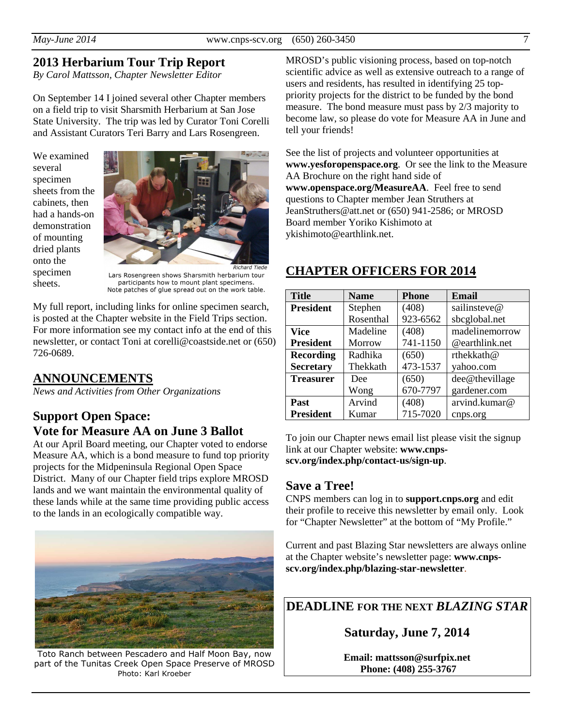### **2013 Herbarium Tour Trip Report**

*By Carol Mattsson, Chapter Newsletter Editor* 

On September 14 I joined several other Chapter members on a field trip to visit Sharsmith Herbarium at San Jose State University. The trip was led by Curator Toni Corelli and Assistant Curators Teri Barry and Lars Rosengreen.

We examined several specimen sheets from the cabinets, then had a hands-on demonstration of mounting dried plants onto the specimen sheets.



Lars Rosengreen shows Sharsmith herbarium tour participants how to mount plant specimens. Note patches of glue spread out on the work table.

My full report, including links for online specimen search, is posted at the Chapter website in the Field Trips section. For more information see my contact info at the end of this newsletter, or contact Toni at corelli@coastside.net or (650) 726-0689.

### **ANNOUNCEMENTS**

*News and Activities from Other Organizations* 

# **Support Open Space: Vote for Measure AA on June 3 Ballot**

At our April Board meeting, our Chapter voted to endorse Measure AA, which is a bond measure to fund top priority projects for the Midpeninsula Regional Open Space District. Many of our Chapter field trips explore MROSD lands and we want maintain the environmental quality of these lands while at the same time providing public access to the lands in an ecologically compatible way.



Toto Ranch between Pescadero and Half Moon Bay, now part of the Tunitas Creek Open Space Preserve of MROSD Photo: Karl Kroeber

MROSD's public visioning process, based on top-notch scientific advice as well as extensive outreach to a range of users and residents, has resulted in identifying 25 toppriority projects for the district to be funded by the bond measure. The bond measure must pass by 2/3 majority to become law, so please do vote for Measure AA in June and tell your friends!

See the list of projects and volunteer opportunities at **www.yesforopenspace.org**. Or see the link to the Measure AA Brochure on the right hand side of **www.openspace.org/MeasureAA**. Feel free to send questions to Chapter member Jean Struthers at JeanStruthers@att.net or (650) 941-2586; or MROSD Board member Yoriko Kishimoto at ykishimoto@earthlink.net.

## **CHAPTER OFFICERS FOR 2014**

| <b>Title</b>     | <b>Name</b> | <b>Phone</b> | Email          |
|------------------|-------------|--------------|----------------|
| <b>President</b> | Stephen     | (408)        | sailinsteve@   |
|                  | Rosenthal   | 923-6562     | sbcglobal.net  |
| Vice             | Madeline    | (408)        | madelinemorrow |
| <b>President</b> | Morrow      | 741-1150     | @earthlink.net |
| <b>Recording</b> | Radhika     | (650)        | rthekkath@     |
| <b>Secretary</b> | Thekkath    | 473-1537     | yahoo.com      |
| <b>Treasurer</b> | Dee         | (650)        | dee@thevillage |
|                  | Wong        | 670-7797     | gardener.com   |
| Past             | Arvind      | (408)        | arvind.kumar@  |
| <b>President</b> | Kumar       | 715-7020     | cnps.org       |

To join our Chapter news email list please visit the signup link at our Chapter website: **www.cnpsscv.org/index.php/contact-us/sign-up**.

### **Save a Tree!**

CNPS members can log in to **support.cnps.org** and edit their profile to receive this newsletter by email only. Look for "Chapter Newsletter" at the bottom of "My Profile."

Current and past Blazing Star newsletters are always online at the Chapter website's newsletter page: **www.cnpsscv.org/index.php/blazing-star-newsletter**.

### **DEADLINE FOR THE NEXT** *BLAZING STAR*

**Saturday, June 7, 2014** 

**Email: mattsson@surfpix.net Phone: (408) 255-3767**